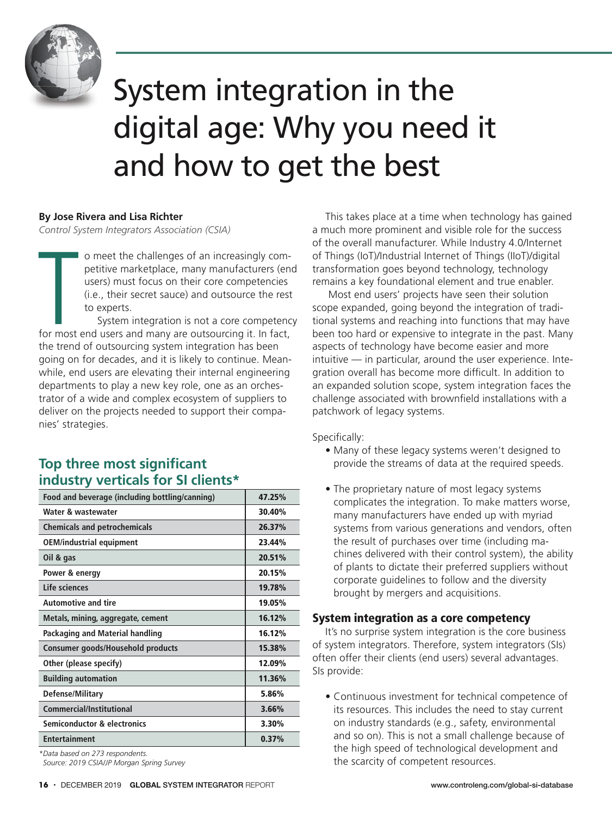

# System integration in the digital age: Why you need it and how to get the best

## **By Jose Rivera and Lisa Richter**

*Control System Integrators Association (CSIA)*

Control Sy o meet the challenges of an increasingly competitive marketplace, many manufacturers (end users) must focus on their core competencies (i.e., their secret sauce) and outsource the rest to experts.

System integration is not a core competency for most end users and many are outsourcing it. In fact, the trend of outsourcing system integration has been going on for decades, and it is likely to continue. Meanwhile, end users are elevating their internal engineering departments to play a new key role, one as an orchestrator of a wide and complex ecosystem of suppliers to deliver on the projects needed to support their companies' strategies.

# **Top three most significant industry verticals for SI clients\***

| Food and beverage (including bottling/canning) | 47.25% |
|------------------------------------------------|--------|
| Water & wastewater                             | 30.40% |
| <b>Chemicals and petrochemicals</b>            | 26.37% |
| <b>OEM/industrial equipment</b>                | 23.44% |
| Oil & gas                                      | 20.51% |
| Power & energy                                 | 20.15% |
| Life sciences                                  | 19.78% |
| <b>Automotive and tire</b>                     | 19.05% |
| Metals, mining, aggregate, cement              | 16.12% |
| Packaging and Material handling                | 16.12% |
| Consumer goods/Household products              | 15.38% |
| Other (please specify)                         | 12.09% |
| <b>Building automation</b>                     | 11.36% |
| Defense/Military                               | 5.86%  |
| Commercial/Institutional                       | 3.66%  |
| <b>Semiconductor &amp; electronics</b>         | 3.30%  |
| <b>Entertainment</b>                           | 0.37%  |

*\*Data based on 273 respondents. Source: 2019 CSIA/JP Morgan Spring Survey*

This takes place at a time when technology has gained a much more prominent and visible role for the success of the overall manufacturer. While Industry 4.0/Internet of Things (IoT)/Industrial Internet of Things (IIoT)/digital transformation goes beyond technology, technology remains a key foundational element and true enabler.

 Most end users' projects have seen their solution scope expanded, going beyond the integration of traditional systems and reaching into functions that may have been too hard or expensive to integrate in the past. Many aspects of technology have become easier and more intuitive — in particular, around the user experience. Integration overall has become more difficult. In addition to an expanded solution scope, system integration faces the challenge associated with brownfield installations with a patchwork of legacy systems.

Specifically:

- Many of these legacy systems weren't designed to provide the streams of data at the required speeds.
- The proprietary nature of most legacy systems complicates the integration. To make matters worse, many manufacturers have ended up with myriad systems from various generations and vendors, often the result of purchases over time (including machines delivered with their control system), the ability of plants to dictate their preferred suppliers without corporate guidelines to follow and the diversity brought by mergers and acquisitions.

## **System integration as a core competency**

It's no surprise system integration is the core business of system integrators. Therefore, system integrators (SIs) often offer their clients (end users) several advantages. SIs provide:

• Continuous investment for technical competence of its resources. This includes the need to stay current on industry standards (e.g., safety, environmental and so on). This is not a small challenge because of the high speed of technological development and the scarcity of competent resources.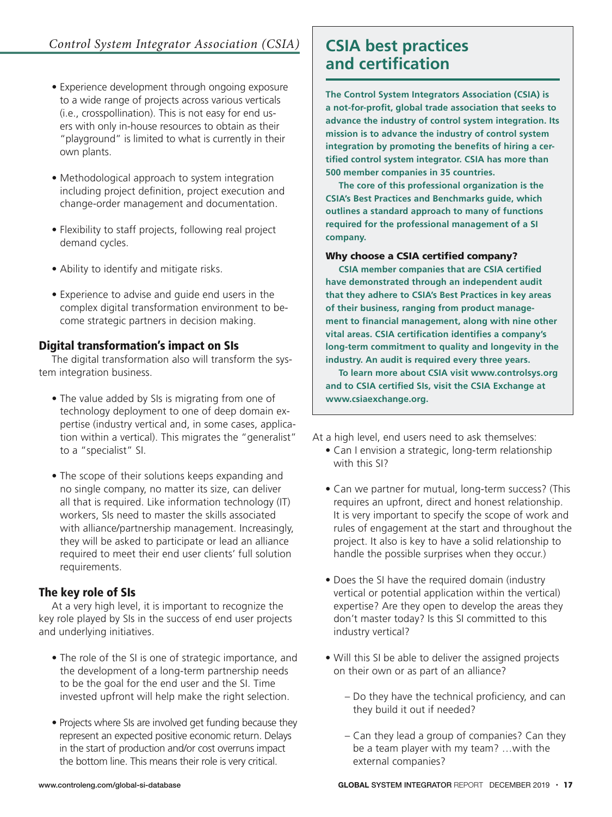- Experience development through ongoing exposure to a wide range of projects across various verticals (i.e., crosspollination). This is not easy for end users with only in-house resources to obtain as their "playground" is limited to what is currently in their own plants.
- Methodological approach to system integration including project definition, project execution and change-order management and documentation.
- Flexibility to staff projects, following real project demand cycles.
- Ability to identify and mitigate risks.
- Experience to advise and guide end users in the complex digital transformation environment to become strategic partners in decision making.

# Digital transformation's impact on SIs

The digital transformation also will transform the system integration business.

- The value added by SIs is migrating from one of technology deployment to one of deep domain expertise (industry vertical and, in some cases, application within a vertical). This migrates the "generalist" to a "specialist" SI.
- The scope of their solutions keeps expanding and no single company, no matter its size, can deliver all that is required. Like information technology (IT) workers, SIs need to master the skills associated with alliance/partnership management. Increasingly, they will be asked to participate or lead an alliance required to meet their end user clients' full solution requirements.

# The key role of SIs

At a very high level, it is important to recognize the key role played by SIs in the success of end user projects and underlying initiatives.

- The role of the SI is one of strategic importance, and the development of a long-term partnership needs to be the goal for the end user and the SI. Time invested upfront will help make the right selection.
- Projects where SIs are involved get funding because they represent an expected positive economic return. Delays in the start of production and/or cost overruns impact the bottom line. This means their role is very critical.

# **and certification**

**The Control System Integrators Association (CSIA) is a not-for-profit, global trade association that seeks to advance the industry of control system integration. Its mission is to advance the industry of control system integration by promoting the benefits of hiring a certified control system integrator. CSIA has more than 500 member companies in 35 countries.**

**The core of this professional organization is the CSIA's Best Practices and Benchmarks guide, which outlines a standard approach to many of functions required for the professional management of a SI company.**

## Why choose a CSIA certified company?

**CSIA member companies that are CSIA certified have demonstrated through an independent audit that they adhere to CSIA's Best Practices in key areas of their business, ranging from product management to financial management, along with nine other vital areas. CSIA certification identifies a company's long-term commitment to quality and longevity in the industry. An audit is required every three years.**

**To learn more about CSIA visit www.controlsys.org and to CSIA certified SIs, visit the CSIA Exchange at www.csiaexchange.org.**

At a high level, end users need to ask themselves:

- Can I envision a strategic, long-term relationship with this SI?
- Can we partner for mutual, long-term success? (This requires an upfront, direct and honest relationship. It is very important to specify the scope of work and rules of engagement at the start and throughout the project. It also is key to have a solid relationship to handle the possible surprises when they occur.)
- Does the SI have the required domain (industry vertical or potential application within the vertical) expertise? Are they open to develop the areas they don't master today? Is this SI committed to this industry vertical?
- Will this SI be able to deliver the assigned projects on their own or as part of an alliance?
	- Do they have the technical proficiency, and can they build it out if needed?
	- Can they lead a group of companies? Can they be a team player with my team? …with the external companies?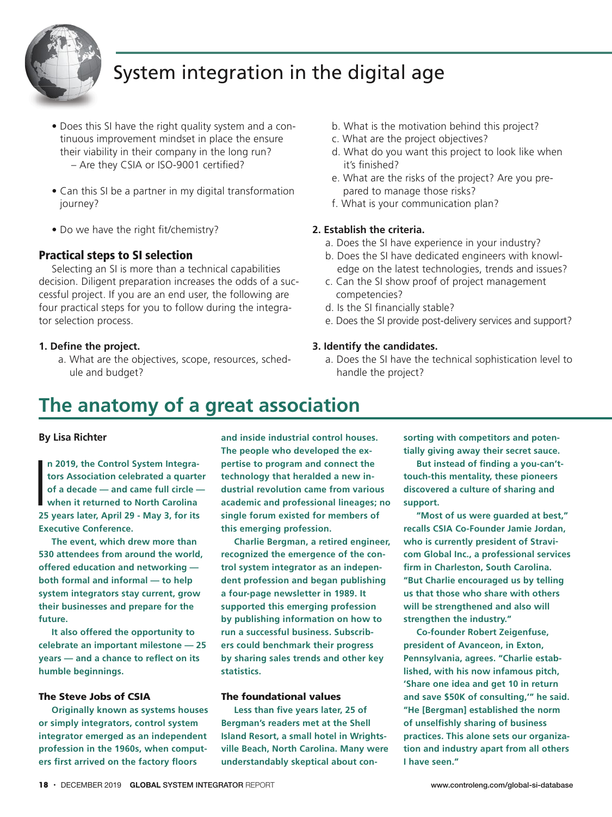

# System integration in the digital age

- Does this SI have the right quality system and a continuous improvement mindset in place the ensure their viability in their company in the long run? – Are they CSIA or ISO-9001 certified?
- Can this SI be a partner in my digital transformation journey?
- Do we have the right fit/chemistry?

## **Practical steps to SI selection**

Selecting an SI is more than a technical capabilities decision. Diligent preparation increases the odds of a successful project. If you are an end user, the following are four practical steps for you to follow during the integrator selection process.

### **1. Define the project.**

a. What are the objectives, scope, resources, schedule and budget?

- b. What is the motivation behind this project?
- c. What are the project objectives?
- d. What do you want this project to look like when it's finished?
- e. What are the risks of the project? Are you prepared to manage those risks?
- f. What is your communication plan?

### **2. Establish the criteria.**

- a. Does the SI have experience in your industry?
- b. Does the SI have dedicated engineers with knowledge on the latest technologies, trends and issues?
- c. Can the SI show proof of project management competencies?
- d. Is the SI financially stable?
- e. Does the SI provide post-delivery services and support?

### **3. Identify the candidates.**

a. Does the SI have the technical sophistication level to handle the project?

# **The anatomy of a great association**

### **By Lisa Richter**

 $\overline{\phantom{a}}$ **n 2019, the Control System Integrators Association celebrated a quarter of a decade — and came full circle when it returned to North Carolina 25 years later, April 29 - May 3, for its Executive Conference.**

**The event, which drew more than 530 attendees from around the world, offered education and networking both formal and informal — to help system integrators stay current, grow their businesses and prepare for the future.**

**It also offered the opportunity to celebrate an important milestone — 25 years — and a chance to reflect on its humble beginnings.**

#### **The Steve Jobs of CSIA**

**Originally known as systems houses or simply integrators, control system integrator emerged as an independent profession in the 1960s, when computers first arrived on the factory floors**

**and inside industrial control houses. The people who developed the expertise to program and connect the technology that heralded a new industrial revolution came from various academic and professional lineages; no single forum existed for members of this emerging profession.**

**Charlie Bergman, a retired engineer, recognized the emergence of the control system integrator as an independent profession and began publishing a four-page newsletter in 1989. It supported this emerging profession by publishing information on how to run a successful business. Subscribers could benchmark their progress by sharing sales trends and other key statistics.**

### **The foundational values**

**Less than five years later, 25 of Bergman's readers met at the Shell Island Resort, a small hotel in Wrightsville Beach, North Carolina. Many were understandably skeptical about con-** **sorting with competitors and potentially giving away their secret sauce.**

**But instead of finding a you-can'ttouch-this mentality, these pioneers discovered a culture of sharing and support.**

**"Most of us were guarded at best," recalls CSIA Co-Founder Jamie Jordan, who is currently president of Stravicom Global Inc., a professional services firm in Charleston, South Carolina. "But Charlie encouraged us by telling us that those who share with others will be strengthened and also will strengthen the industry."**

**Co-founder Robert Zeigenfuse, president of Avanceon, in Exton, Pennsylvania, agrees. "Charlie established, with his now infamous pitch, 'Share one idea and get 10 in return and save \$50K of consulting,'" he said. "He [Bergman] established the norm of unselfishly sharing of business practices. This alone sets our organization and industry apart from all others I have seen."**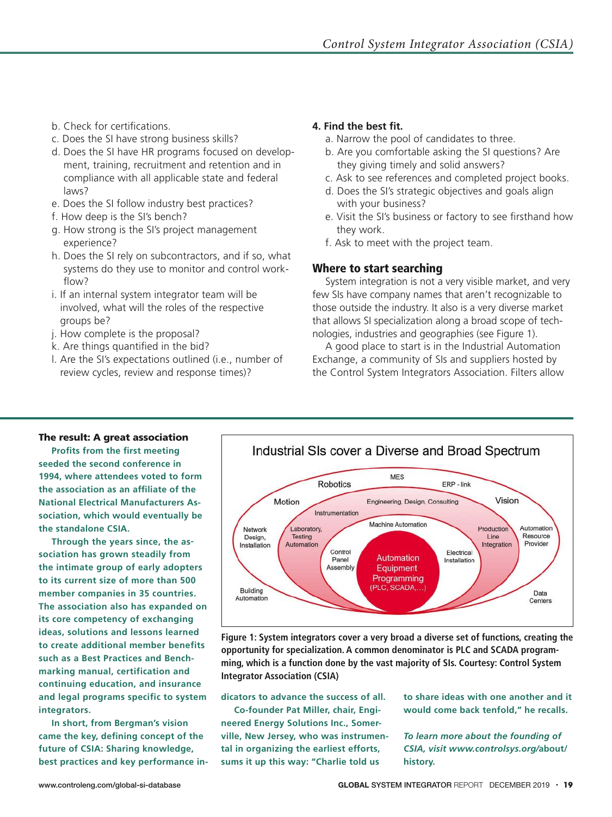- b. Check for certifications.
- c. Does the SI have strong business skills?
- d. Does the SI have HR programs focused on development, training, recruitment and retention and in compliance with all applicable state and federal laws?
- e. Does the SI follow industry best practices?
- f. How deep is the SI's bench?
- g. How strong is the SI's project management experience?
- h. Does the SI rely on subcontractors, and if so, what systems do they use to monitor and control workflow?
- i. If an internal system integrator team will be involved, what will the roles of the respective groups be?
- j. How complete is the proposal?
- k. Are things quantified in the bid?
- l. Are the SI's expectations outlined (i.e., number of review cycles, review and response times)?

## **4. Find the best fit.**

- a. Narrow the pool of candidates to three.
- b. Are you comfortable asking the SI questions? Are they giving timely and solid answers?
- c. Ask to see references and completed project books.
- d. Does the SI's strategic objectives and goals align with your business?
- e. Visit the SI's business or factory to see firsthand how they work.
- f. Ask to meet with the project team.

## Where to start searching

System integration is not a very visible market, and very few SIs have company names that aren't recognizable to those outside the industry. It also is a very diverse market that allows SI specialization along a broad scope of technologies, industries and geographies (see Figure 1).

A good place to start is in the Industrial Automation Exchange, a community of SIs and suppliers hosted by the Control System Integrators Association. Filters allow

## The result: A great association

**Profits from the first meeting seeded the second conference in 1994, where attendees voted to form the association as an affiliate of the National Electrical Manufacturers Association, which would eventually be the standalone CSIA.**

**Through the years since, the association has grown steadily from the intimate group of early adopters to its current size of more than 500 member companies in 35 countries. The association also has expanded on its core competency of exchanging ideas, solutions and lessons learned to create additional member benefits such as a Best Practices and Benchmarking manual, certification and continuing education, and insurance and legal programs specific to system integrators.**

**In short, from Bergman's vision came the key, defining concept of the future of CSIA: Sharing knowledge, best practices and key performance in-**



**Figure 1: System integrators cover a very broad a diverse set of functions, creating the opportunity for specialization. A common denominator is PLC and SCADA programming, which is a function done by the vast majority of SIs. Courtesy: Control System Integrator Association (CSIA)**

**dicators to advance the success of all.**

**Co-founder Pat Miller, chair, Engineered Energy Solutions Inc., Somerville, New Jersey, who was instrumental in organizing the earliest efforts, sums it up this way: "Charlie told us**

**to share ideas with one another and it would come back tenfold," he recalls.**

*To learn more about the founding of CSIA, visit www.controlsys.org/***about/ history.**